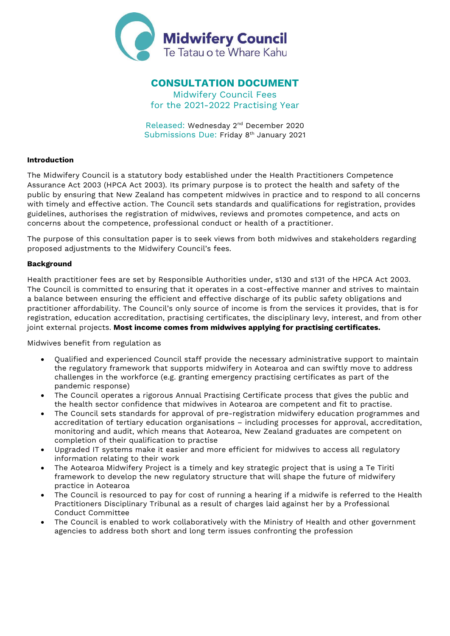

# CONSULTATION DOCUMENT

Midwifery Council Fees for the 2021-2022 Practising Year

Released: Wednesday 2nd December 2020 Submissions Due: Friday 8<sup>th</sup> January 2021

## Introduction

The Midwifery Council is a statutory body established under the Health Practitioners Competence Assurance Act 2003 (HPCA Act 2003). Its primary purpose is to protect the health and safety of the public by ensuring that New Zealand has competent midwives in practice and to respond to all concerns with timely and effective action. The Council sets standards and qualifications for registration, provides guidelines, authorises the registration of midwives, reviews and promotes competence, and acts on concerns about the competence, professional conduct or health of a practitioner.

The purpose of this consultation paper is to seek views from both midwives and stakeholders regarding proposed adjustments to the Midwifery Council's fees.

## Background

Health practitioner fees are set by Responsible Authorities under, s130 and s131 of the HPCA Act 2003. The Council is committed to ensuring that it operates in a cost-effective manner and strives to maintain a balance between ensuring the efficient and effective discharge of its public safety obligations and practitioner affordability. The Council's only source of income is from the services it provides, that is for registration, education accreditation, practising certificates, the disciplinary levy, interest, and from other joint external projects. Most income comes from midwives applying for practising certificates.

Midwives benefit from regulation as

- Qualified and experienced Council staff provide the necessary administrative support to maintain the regulatory framework that supports midwifery in Aotearoa and can swiftly move to address challenges in the workforce (e.g. granting emergency practising certificates as part of the pandemic response)
- The Council operates a rigorous Annual Practising Certificate process that gives the public and the health sector confidence that midwives in Aotearoa are competent and fit to practise.
- The Council sets standards for approval of pre-registration midwifery education programmes and accreditation of tertiary education organisations – including processes for approval, accreditation, monitoring and audit, which means that Aotearoa, New Zealand graduates are competent on completion of their qualification to practise
- Upgraded IT systems make it easier and more efficient for midwives to access all regulatory information relating to their work
- The Aotearoa Midwifery Project is a timely and key strategic project that is using a Te Tiriti framework to develop the new regulatory structure that will shape the future of midwifery practice in Aotearoa
- The Council is resourced to pay for cost of running a hearing if a midwife is referred to the Health Practitioners Disciplinary Tribunal as a result of charges laid against her by a Professional Conduct Committee
- The Council is enabled to work collaboratively with the Ministry of Health and other government agencies to address both short and long term issues confronting the profession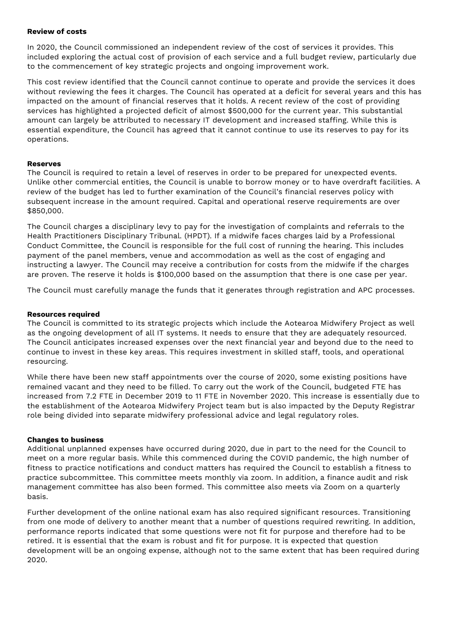# Review of costs

In 2020, the Council commissioned an independent review of the cost of services it provides. This included exploring the actual cost of provision of each service and a full budget review, particularly due to the commencement of key strategic projects and ongoing improvement work.

This cost review identified that the Council cannot continue to operate and provide the services it does without reviewing the fees it charges. The Council has operated at a deficit for several years and this has impacted on the amount of financial reserves that it holds. A recent review of the cost of providing services has highlighted a projected deficit of almost \$500,000 for the current year. This substantial amount can largely be attributed to necessary IT development and increased staffing. While this is essential expenditure, the Council has agreed that it cannot continue to use its reserves to pay for its operations.

## Reserves

The Council is required to retain a level of reserves in order to be prepared for unexpected events. Unlike other commercial entities, the Council is unable to borrow money or to have overdraft facilities. A review of the budget has led to further examination of the Council's financial reserves policy with subsequent increase in the amount required. Capital and operational reserve requirements are over \$850,000.

The Council charges a disciplinary levy to pay for the investigation of complaints and referrals to the Health Practitioners Disciplinary Tribunal. (HPDT). If a midwife faces charges laid by a Professional Conduct Committee, the Council is responsible for the full cost of running the hearing. This includes payment of the panel members, venue and accommodation as well as the cost of engaging and instructing a lawyer. The Council may receive a contribution for costs from the midwife if the charges are proven. The reserve it holds is \$100,000 based on the assumption that there is one case per year.

The Council must carefully manage the funds that it generates through registration and APC processes.

### Resources required

The Council is committed to its strategic projects which include the Aotearoa Midwifery Project as well as the ongoing development of all IT systems. It needs to ensure that they are adequately resourced. The Council anticipates increased expenses over the next financial year and beyond due to the need to continue to invest in these key areas. This requires investment in skilled staff, tools, and operational resourcing.

While there have been new staff appointments over the course of 2020, some existing positions have remained vacant and they need to be filled. To carry out the work of the Council, budgeted FTE has increased from 7.2 FTE in December 2019 to 11 FTE in November 2020. This increase is essentially due to the establishment of the Aotearoa Midwifery Project team but is also impacted by the Deputy Registrar role being divided into separate midwifery professional advice and legal regulatory roles.

### Changes to business

Additional unplanned expenses have occurred during 2020, due in part to the need for the Council to meet on a more regular basis. While this commenced during the COVID pandemic, the high number of fitness to practice notifications and conduct matters has required the Council to establish a fitness to practice subcommittee. This committee meets monthly via zoom. In addition, a finance audit and risk management committee has also been formed. This committee also meets via Zoom on a quarterly basis.

Further development of the online national exam has also required significant resources. Transitioning from one mode of delivery to another meant that a number of questions required rewriting. In addition, performance reports indicated that some questions were not fit for purpose and therefore had to be retired. It is essential that the exam is robust and fit for purpose. It is expected that question development will be an ongoing expense, although not to the same extent that has been required during 2020.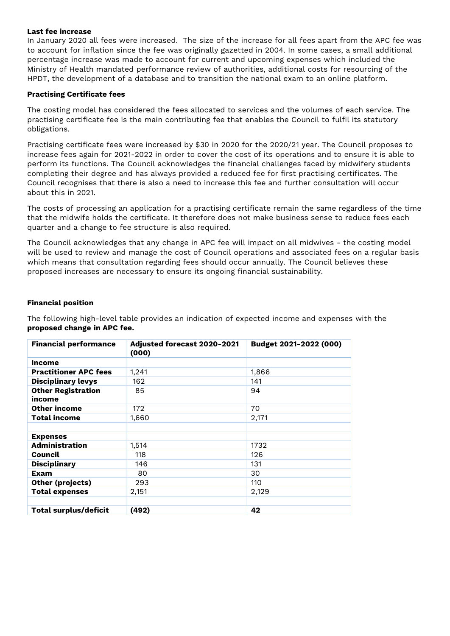### Last fee increase

In January 2020 all fees were increased. The size of the increase for all fees apart from the APC fee was to account for inflation since the fee was originally gazetted in 2004. In some cases, a small additional percentage increase was made to account for current and upcoming expenses which included the Ministry of Health mandated performance review of authorities, additional costs for resourcing of the HPDT, the development of a database and to transition the national exam to an online platform.

# Practising Certificate fees

The costing model has considered the fees allocated to services and the volumes of each service. The practising certificate fee is the main contributing fee that enables the Council to fulfil its statutory obligations.

Practising certificate fees were increased by \$30 in 2020 for the 2020/21 year. The Council proposes to increase fees again for 2021-2022 in order to cover the cost of its operations and to ensure it is able to perform its functions. The Council acknowledges the financial challenges faced by midwifery students completing their degree and has always provided a reduced fee for first practising certificates. The Council recognises that there is also a need to increase this fee and further consultation will occur about this in 2021.

The costs of processing an application for a practising certificate remain the same regardless of the time that the midwife holds the certificate. It therefore does not make business sense to reduce fees each quarter and a change to fee structure is also required.

The Council acknowledges that any change in APC fee will impact on all midwives - the costing model will be used to review and manage the cost of Council operations and associated fees on a regular basis which means that consultation regarding fees should occur annually. The Council believes these proposed increases are necessary to ensure its ongoing financial sustainability.

## Financial position

The following high-level table provides an indication of expected income and expenses with the proposed change in APC fee.

| <b>Financial performance</b>        | Adjusted forecast 2020-2021<br>(000) | Budget 2021-2022 (000) |  |
|-------------------------------------|--------------------------------------|------------------------|--|
| <b>Income</b>                       |                                      |                        |  |
| <b>Practitioner APC fees</b>        | 1,241                                | 1,866                  |  |
| <b>Disciplinary levys</b>           | 162                                  | 141                    |  |
| <b>Other Registration</b><br>income | 85                                   | 94                     |  |
| <b>Other income</b>                 | 172                                  | 70                     |  |
| Total income                        | 1,660                                | 2,171                  |  |
|                                     |                                      |                        |  |
| <b>Expenses</b>                     |                                      |                        |  |
| <b>Administration</b>               | 1,514                                | 1732                   |  |
| Council                             | 118                                  | 126                    |  |
| <b>Disciplinary</b>                 | 146                                  | 131                    |  |
| Exam                                | 80                                   | 30                     |  |
| Other (projects)                    | 293                                  | 110                    |  |
| <b>Total expenses</b>               | 2,151                                | 2,129                  |  |
|                                     |                                      |                        |  |
| <b>Total surplus/deficit</b>        | (492)                                | 42                     |  |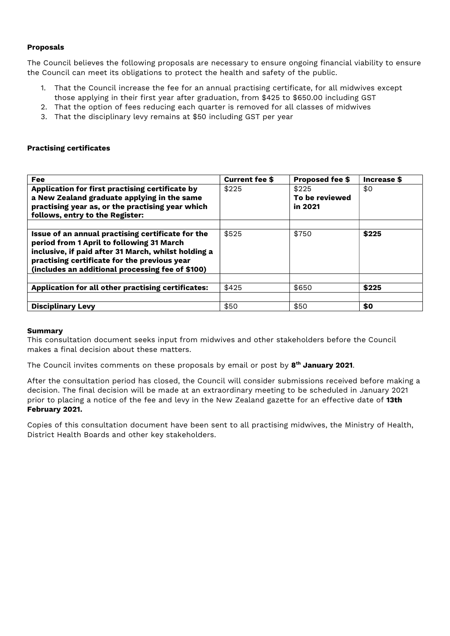## Proposals

The Council believes the following proposals are necessary to ensure ongoing financial viability to ensure the Council can meet its obligations to protect the health and safety of the public.

- 1. That the Council increase the fee for an annual practising certificate, for all midwives except those applying in their first year after graduation, from \$425 to \$650.00 including GST
- 2. That the option of fees reducing each quarter is removed for all classes of midwives
- 3. That the disciplinary levy remains at \$50 including GST per year

### Practising certificates

| <b>Fee</b>                                                                                                                                                                                                                                                | <b>Current fee \$</b> | <b>Proposed fee \$</b>             | Increase \$ |
|-----------------------------------------------------------------------------------------------------------------------------------------------------------------------------------------------------------------------------------------------------------|-----------------------|------------------------------------|-------------|
| Application for first practising certificate by<br>a New Zealand graduate applying in the same<br>practising year as, or the practising year which<br>follows, entry to the Register:                                                                     | \$225                 | \$225<br>To be reviewed<br>in 2021 | \$0         |
| Issue of an annual practising certificate for the<br>period from 1 April to following 31 March<br>inclusive, if paid after 31 March, whilst holding a<br>practising certificate for the previous year<br>(includes an additional processing fee of \$100) | \$525                 | \$750                              | \$225       |
| Application for all other practising certificates:                                                                                                                                                                                                        | \$425                 | \$650                              | \$225       |
| <b>Disciplinary Levy</b>                                                                                                                                                                                                                                  | \$50                  | \$50                               | \$0         |

### Summary

This consultation document seeks input from midwives and other stakeholders before the Council makes a final decision about these matters.

The Council invites comments on these proposals by email or post by **8<sup>th</sup> January 2021**.

After the consultation period has closed, the Council will consider submissions received before making a decision. The final decision will be made at an extraordinary meeting to be scheduled in January 2021 prior to placing a notice of the fee and levy in the New Zealand gazette for an effective date of 13th February 2021.

Copies of this consultation document have been sent to all practising midwives, the Ministry of Health, District Health Boards and other key stakeholders.